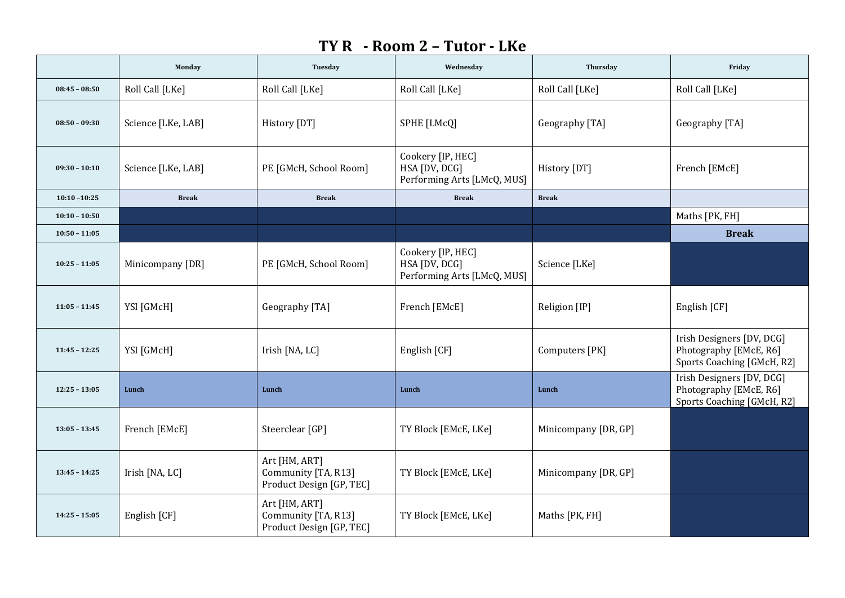## **TY R - Room 2 – Tutor - LKe**

|                 | Monday             | Tuesday                                                          | Wednesday                                                         | Thursday             | Friday                                                                            |
|-----------------|--------------------|------------------------------------------------------------------|-------------------------------------------------------------------|----------------------|-----------------------------------------------------------------------------------|
| $08:45 - 08:50$ | Roll Call [LKe]    | Roll Call [LKe]                                                  | Roll Call [LKe]                                                   | Roll Call [LKe]      | Roll Call [LKe]                                                                   |
| $08:50 - 09:30$ | Science [LKe, LAB] | History [DT]                                                     | SPHE [LMcQ]                                                       | Geography [TA]       | Geography [TA]                                                                    |
| $09:30 - 10:10$ | Science [LKe, LAB] | PE [GMcH, School Room]                                           | Cookery [IP, HEC]<br>HSA [DV, DCG]<br>Performing Arts [LMcQ, MUS] | History [DT]         | French [EMcE]                                                                     |
| $10:10 - 10:25$ | <b>Break</b>       | <b>Break</b>                                                     | <b>Break</b>                                                      | <b>Break</b>         |                                                                                   |
| $10:10 - 10:50$ |                    |                                                                  |                                                                   |                      | Maths [PK, FH]                                                                    |
| $10:50 - 11:05$ |                    |                                                                  |                                                                   |                      | <b>Break</b>                                                                      |
| $10:25 - 11:05$ | Minicompany [DR]   | PE [GMcH, School Room]                                           | Cookery [IP, HEC]<br>HSA [DV, DCG]<br>Performing Arts [LMcQ, MUS] | Science [LKe]        |                                                                                   |
| $11:05 - 11:45$ | YSI [GMcH]         | Geography [TA]                                                   | French [EMcE]                                                     | Religion [IP]        | English [CF]                                                                      |
| $11:45 - 12:25$ | YSI [GMcH]         | Irish [NA, LC]                                                   | English [CF]                                                      | Computers [PK]       | Irish Designers [DV, DCG]<br>Photography [EMcE, R6]<br>Sports Coaching [GMcH, R2] |
| $12:25 - 13:05$ | Lunch              | Lunch                                                            | Lunch                                                             | Lunch                | Irish Designers [DV, DCG]<br>Photography [EMcE, R6]<br>Sports Coaching [GMcH, R2] |
| $13:05 - 13:45$ | French [EMcE]      | Steerclear [GP]                                                  | TY Block [EMcE, LKe]                                              | Minicompany [DR, GP] |                                                                                   |
| $13:45 - 14:25$ | Irish [NA, LC]     | Art [HM, ART]<br>Community [TA, R13]<br>Product Design [GP, TEC] | TY Block [EMcE, LKe]                                              | Minicompany [DR, GP] |                                                                                   |
| $14:25 - 15:05$ | English [CF]       | Art [HM, ART]<br>Community [TA, R13]<br>Product Design [GP, TEC] | TY Block [EMcE, LKe]                                              | Maths [PK, FH]       |                                                                                   |